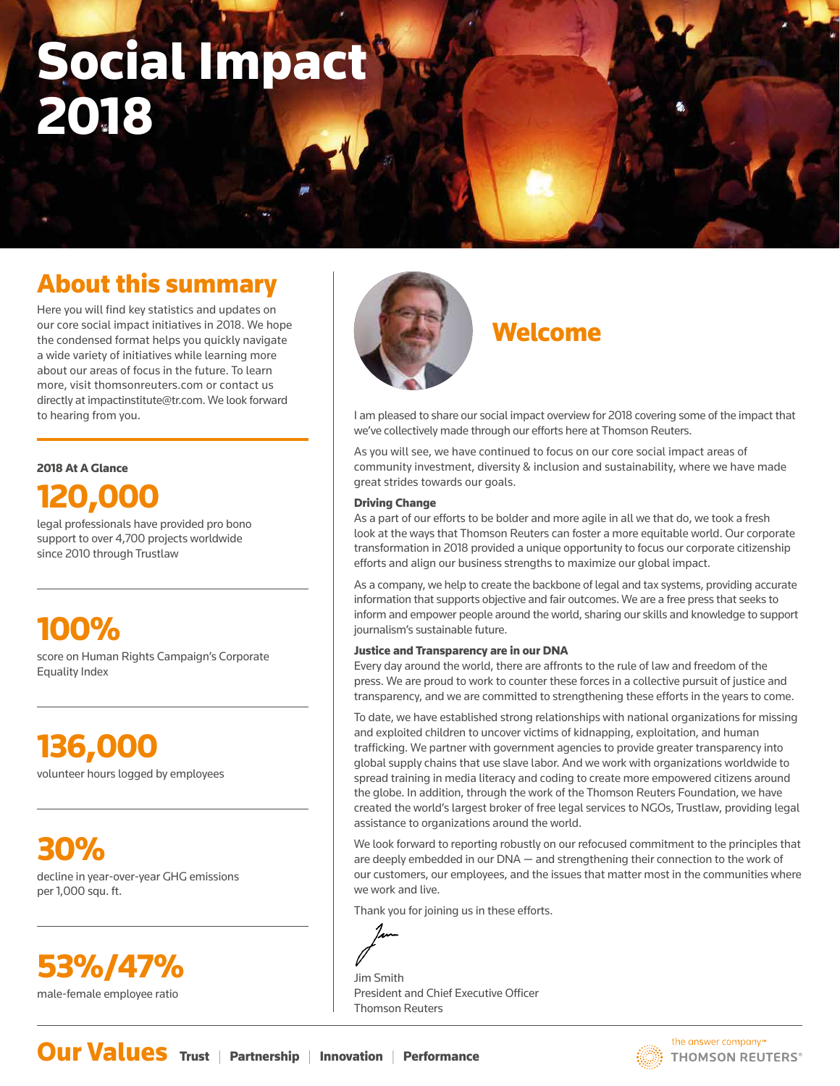# Social Impact 2018

# About this summary

Here you will find key statistics and updates on our core social impact initiatives in 2018. We hope the condensed format helps you quickly navigate a wide variety of initiatives while learning more about our areas of focus in the future. To learn more, visit thomsonreuters.com or contact us directly at impactinstitute@tr.com. We look forward to hearing from you.

#### 2018 At A Glance



legal professionals have provided pro bono support to over 4,700 projects worldwide since 2010 through Trustlaw

# 100%

score on Human Rights Campaign's Corporate Equality Index

# 136,000

volunteer hours logged by employees

30% decline in year-over-year GHG emissions per 1,000 squ. ft.





## Welcome

I am pleased to share our social impact overview for 2018 covering some of the impact that we've collectively made through our efforts here at Thomson Reuters.

As you will see, we have continued to focus on our core social impact areas of community investment, diversity & inclusion and sustainability, where we have made great strides towards our goals.

#### Driving Change

As a part of our efforts to be bolder and more agile in all we that do, we took a fresh look at the ways that Thomson Reuters can foster a more equitable world. Our corporate transformation in 2018 provided a unique opportunity to focus our corporate citizenship efforts and align our business strengths to maximize our global impact.

As a company, we help to create the backbone of legal and tax systems, providing accurate information that supports objective and fair outcomes. We are a free press that seeks to inform and empower people around the world, sharing our skills and knowledge to support journalism's sustainable future.

#### Justice and Transparency are in our DNA

Every day around the world, there are affronts to the rule of law and freedom of the press. We are proud to work to counter these forces in a collective pursuit of justice and transparency, and we are committed to strengthening these efforts in the years to come.

To date, we have established strong relationships with national organizations for missing and exploited children to uncover victims of kidnapping, exploitation, and human trafficking. We partner with government agencies to provide greater transparency into global supply chains that use slave labor. And we work with organizations worldwide to spread training in media literacy and coding to create more empowered citizens around the globe. In addition, through the work of the Thomson Reuters Foundation, we have created the world's largest broker of free legal services to NGOs, Trustlaw, providing legal assistance to organizations around the world.

We look forward to reporting robustly on our refocused commitment to the principles that are deeply embedded in our DNA — and strengthening their connection to the work of our customers, our employees, and the issues that matter most in the communities where we work and live.

Thank you for joining us in these efforts.

Jim Smith President and Chief Executive Officer Thomson Reuters